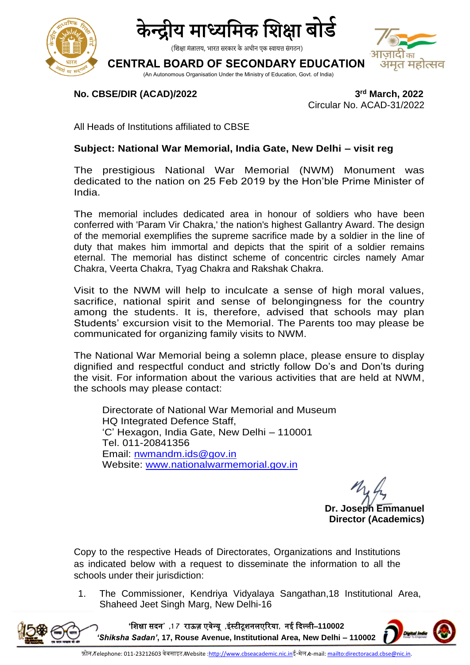



(शिक्षा मंत्रालय, भारत सरकार के अधीन एक स्वायत्त संगठन)

# **CENTRAL BOARD OF SECONDARY EDUCATION**

(An Autonomous Organisation Under the Ministry of Education, Govt. of India)

## **No. CBSE/DIR (ACAD)/2022**

**rd March, 2022** Circular No. ACAD-31/2022

अमत महोत्सव

All Heads of Institutions affiliated to CBSE

### **Subject: National War Memorial, India Gate, New Delhi – visit reg**

The prestigious National War Memorial (NWM) Monument was dedicated to the nation on 25 Feb 2019 by the Hon'ble Prime Minister of India.

The memorial includes dedicated area in honour of soldiers who have been conferred with 'Param Vir Chakra,' the nation's highest Gallantry Award. The design of the memorial exemplifies the supreme sacrifice made by a soldier in the line of duty that makes him immortal and depicts that the spirit of a soldier remains eternal. The memorial has distinct scheme of concentric circles namely Amar Chakra, Veerta Chakra, Tyag Chakra and Rakshak Chakra.

Visit to the NWM will help to inculcate a sense of high moral values, sacrifice, national spirit and sense of belongingness for the country among the students. It is, therefore, advised that schools may plan Students' excursion visit to the Memorial. The Parents too may please be communicated for organizing family visits to NWM.

The National War Memorial being a solemn place, please ensure to display dignified and respectful conduct and strictly follow Do's and Don'ts during the visit. For information about the various activities that are held at NWM, the schools may please contact:

Directorate of National War Memorial and Museum HQ Integrated Defence Staff, 'C' Hexagon, India Gate, New Delhi – 110001 Tel. 011-20841356 Email: [nwmandm.ids@gov.in](mailto:nwmandm.ids@gov.in) Website: [www.nationalwarmemorial.gov.in](http://www.nationalwarmemorial.gov.in/)

**Dr. Joseph Emmanuel Director (Academics)**

Copy to the respective Heads of Directorates, Organizations and Institutions as indicated below with a request to disseminate the information to all the schools under their jurisdiction:

1. The Commissioner, Kendriya Vidyalaya Sangathan,18 Institutional Area, Shaheed Jeet Singh Marg, New Delhi-16

**'**शिक्षा सदन**' ,1 7** राऊज़ एवेन्यू **,**इंस्टीटूिनलएररया**,** नई ददल्ली–**110002**  *'Shiksha Sadan'***, 17, Rouse Avenue, Institutional Area, New Delhi – 110002**